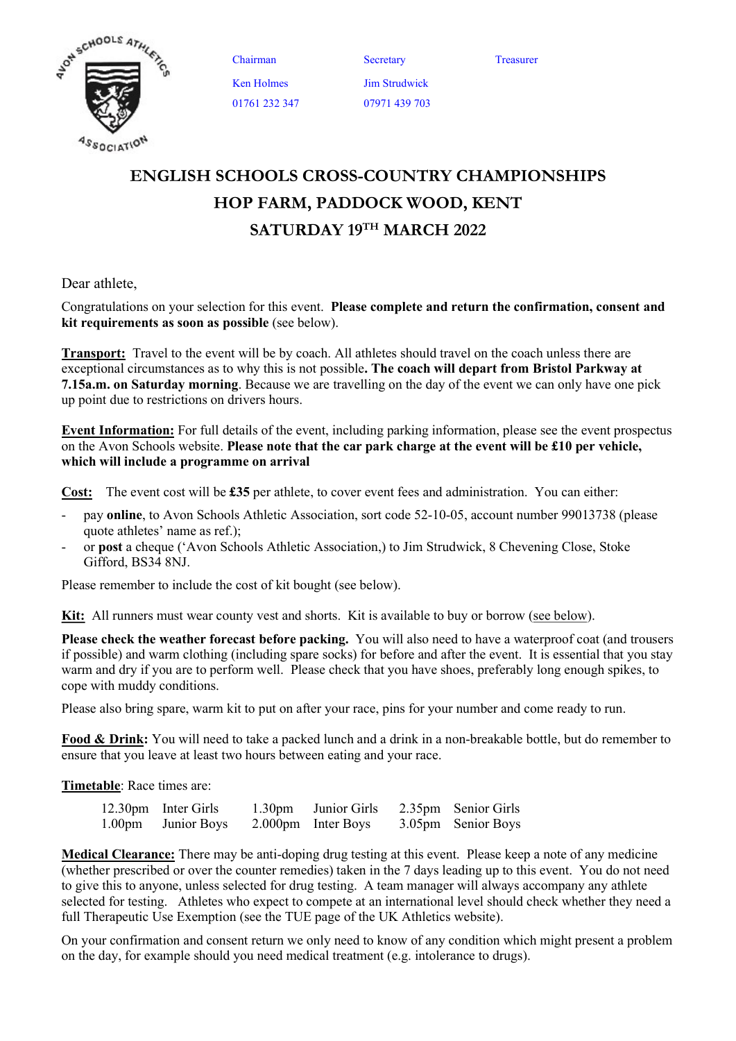

Chairman Secretary Treasurer Ken Holmes 01761 232 347

Jim Strudwick 07971 439 703

## ENGLISH SCHOOLS CROSS-COUNTRY CHAMPIONSHIPS HOP FARM, PADDOCK WOOD, KENT SATURDAY 19TH MARCH 2022

Dear athlete,

Congratulations on your selection for this event. Please complete and return the confirmation, consent and kit requirements as soon as possible (see below).

**Transport:** Travel to the event will be by coach. All athletes should travel on the coach unless there are exceptional circumstances as to why this is not possible. The coach will depart from Bristol Parkway at 7.15a.m. on Saturday morning. Because we are travelling on the day of the event we can only have one pick up point due to restrictions on drivers hours.

Event Information: For full details of the event, including parking information, please see the event prospectus on the Avon Schools website. Please note that the car park charge at the event will be £10 per vehicle, which will include a programme on arrival

Cost: The event cost will be £35 per athlete, to cover event fees and administration. You can either:

- pay **online**, to Avon Schools Athletic Association, sort code 52-10-05, account number 99013738 (please quote athletes' name as ref.);
- or post a cheque ('Avon Schools Athletic Association,) to Jim Strudwick, 8 Chevening Close, Stoke Gifford, BS34 8NJ.

Please remember to include the cost of kit bought (see below).

Kit: All runners must wear county vest and shorts. Kit is available to buy or borrow (see below).

Please check the weather forecast before packing. You will also need to have a waterproof coat (and trousers if possible) and warm clothing (including spare socks) for before and after the event. It is essential that you stay warm and dry if you are to perform well. Please check that you have shoes, preferably long enough spikes, to cope with muddy conditions.

Please also bring spare, warm kit to put on after your race, pins for your number and come ready to run.

Food & Drink: You will need to take a packed lunch and a drink in a non-breakable bottle, but do remember to ensure that you leave at least two hours between eating and your race.

Timetable: Race times are:

| 12.30pm Inter Girls | 1.30pm Junior Girls 2.35pm Senior Girls |                    |
|---------------------|-----------------------------------------|--------------------|
| 1.00pm Junior Boys  | 2.000pm Inter Boys                      | 3.05pm Senior Boys |

Medical Clearance: There may be anti-doping drug testing at this event. Please keep a note of any medicine (whether prescribed or over the counter remedies) taken in the 7 days leading up to this event. You do not need to give this to anyone, unless selected for drug testing. A team manager will always accompany any athlete selected for testing. Athletes who expect to compete at an international level should check whether they need a full Therapeutic Use Exemption (see the TUE page of the UK Athletics website).

On your confirmation and consent return we only need to know of any condition which might present a problem on the day, for example should you need medical treatment (e.g. intolerance to drugs).